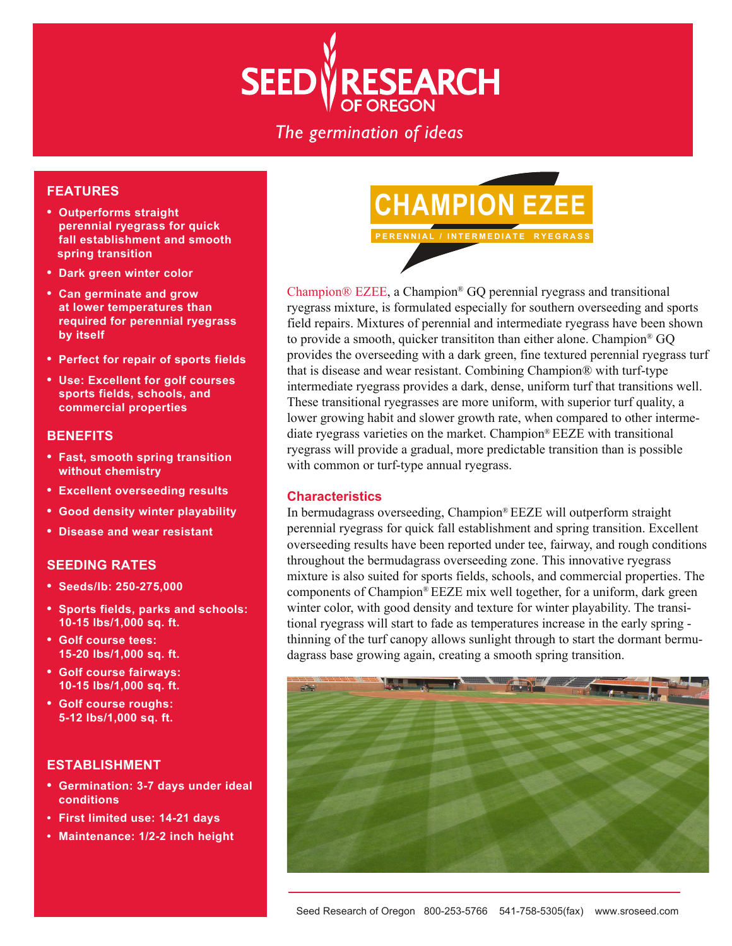

The germination of ideas

### **FEATURES**

- **Outperforms straight perennial ryegrass for quick fall establishment and smooth spring transition**
- **Dark green winter color**
- **Can germinate and grow at lower temperatures than required for perennial ryegrass by itself**
- **Perfect for repair of sports fields**
- **Use: Excellent for golf courses sports fields, schools, and commercial properties**

### **BENEFITS**

- **Fast, smooth spring transition without chemistry**
- **Excellent overseeding results**
- **Good density winter playability**
- **Disease and wear resistant**

## **SEEDING RATES**

- **Seeds/lb: 250-275,000**
- **Sports fields, parks and schools: 10-15 lbs/1,000 sq. ft.**
- **Golf course tees: 15-20 lbs/1,000 sq. ft.**
- **Golf course fairways: 10-15 lbs/1,000 sq. ft.**
- **Golf course roughs: 5-12 lbs/1,000 sq. ft.**

### **ESTABLISHMENT**

- **Germination: 3-7 days under ideal conditions**
- **First limited use: 14-21 days**
- **Maintenance: 1/2-2 inch height**



Champion® EZEE, a Champion® GQ perennial ryegrass and transitional ryegrass mixture, is formulated especially for southern overseeding and sports field repairs. Mixtures of perennial and intermediate ryegrass have been shown to provide a smooth, quicker transititon than either alone. Champion® GQ provides the overseeding with a dark green, fine textured perennial ryegrass turf that is disease and wear resistant. Combining Champion® with turf-type intermediate ryegrass provides a dark, dense, uniform turf that transitions well. These transitional ryegrasses are more uniform, with superior turf quality, a lower growing habit and slower growth rate, when compared to other intermediate ryegrass varieties on the market. Champion® EEZE with transitional ryegrass will provide a gradual, more predictable transition than is possible with common or turf-type annual ryegrass.

#### **Characteristics**

In bermudagrass overseeding, Champion® EEZE will outperform straight perennial ryegrass for quick fall establishment and spring transition. Excellent overseeding results have been reported under tee, fairway, and rough conditions throughout the bermudagrass overseeding zone. This innovative ryegrass mixture is also suited for sports fields, schools, and commercial properties. The components of Champion® EEZE mix well together, for a uniform, dark green winter color, with good density and texture for winter playability. The transitional ryegrass will start to fade as temperatures increase in the early spring thinning of the turf canopy allows sunlight through to start the dormant bermudagrass base growing again, creating a smooth spring transition.